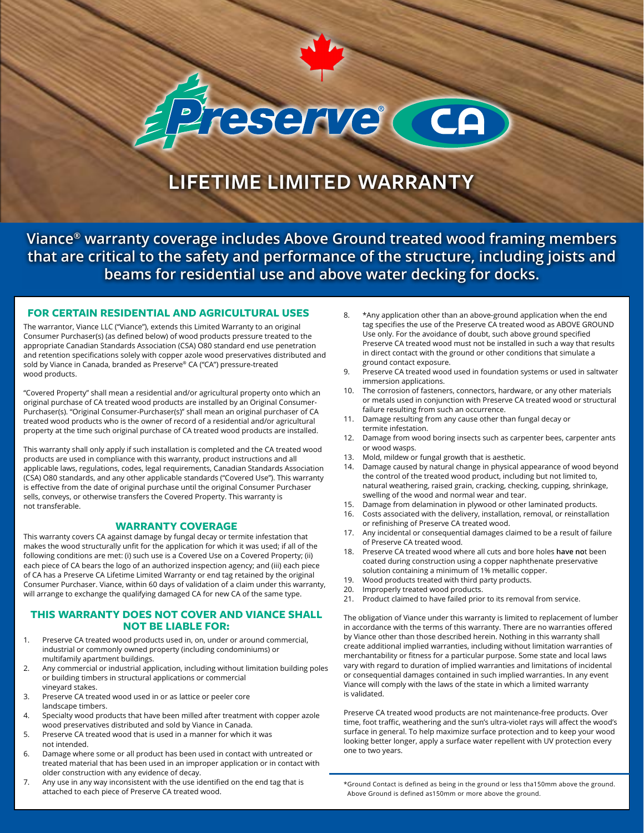# reserve (CA)

# **LIFETIME LIMITED WARRANTY**

**Viance® warranty coverage includes Above Ground treated wood framing members that are critical to the safety and performance of the structure, including joists and beams for residential use and above water decking for docks.**

#### **FOR CERTAIN RESIDENTIAL AND AGRICULTURAL USES** 8. \*Any application other than an above-ground application when the end

The warrantor, Viance LLC ("Viance"), extends this Limited Warranty to an original Consumer Purchaser(s) (as defined below) of wood products pressure treated to the appropriate Canadian Standards Association (CSA) O80 standard end use penetration and retention specifications solely with copper azole wood preservatives distributed and sold by Viance in Canada, branded as Preserve® CA ("CA") pressure-treated wood products.

"Covered Property" shall mean a residential and/or agricultural property onto which an original purchase of CA treated wood products are installed by an Original Consumer-Purchaser(s). "Original Consumer-Purchaser(s)" shall mean an original purchaser of CA treated wood products who is the owner of record of a residential and/or agricultural property at the time such original purchase of CA treated wood products are installed.

This warranty shall only apply if such installation is completed and the CA treated wood products are used in compliance with this warranty, product instructions and all applicable laws, regulations, codes, legal requirements, Canadian Standards Association (CSA) O80 standards, and any other applicable standards ("Covered Use"). This warranty is effective from the date of original purchase until the original Consumer Purchaser sells, conveys, or otherwise transfers the Covered Property. This warranty is not transferable.

#### **WARRANTY COVERAGE**

This warranty covers CA against damage by fungal decay or termite infestation that makes the wood structurally unfit for the application for which it was used; if all of the following conditions are met: (i) such use is a Covered Use on a Covered Property; (ii) each piece of CA bears the logo of an authorized inspection agency; and (iii) each piece of CA has a Preserve CA Lifetime Limited Warranty or end tag retained by the original Consumer Purchaser. Viance, within 60 days of validation of a claim under this warranty, will arrange to exchange the qualifying damaged CA for new CA of the same type.

#### **THIS WARRANTY DOES NOT COVER AND VIANCE SHALL NOT BE LIABLE FOR:**

- 1. Preserve CA treated wood products used in, on, under or around commercial, industrial or commonly owned property (including condominiums) or multifamily apartment buildings.
- 2. Any commercial or industrial application, including without limitation building poles or building timbers in structural applications or commercial vineyard stakes.
- 3. Preserve CA treated wood used in or as lattice or peeler core landscape timbers.
- 4. Specialty wood products that have been milled after treatment with copper azole wood preservatives distributed and sold by Viance in Canada.
- 5. Preserve CA treated wood that is used in a manner for which it was not intended.
- 6. Damage where some or all product has been used in contact with untreated or treated material that has been used in an improper application or in contact with older construction with any evidence of decay.
- 7. Any use in any way inconsistent with the use identified on the end tag that is attached to each piece of Preserve CA treated wood.
- tag specifies the use of the Preserve CA treated wood as ABOVE GROUND Use only. For the avoidance of doubt, such above ground specified Preserve CA treated wood must not be installed in such a way that results in direct contact with the ground or other conditions that simulate a ground contact exposure.
- 9. Preserve CA treated wood used in foundation systems or used in saltwater immersion applications.
- 10. The corrosion of fasteners, connectors, hardware, or any other materials or metals used in conjunction with Preserve CA treated wood or structural failure resulting from such an occurrence.
- 11. Damage resulting from any cause other than fungal decay or termite infestation.
- 12. Damage from wood boring insects such as carpenter bees, carpenter ants or wood wasps.
- 13. Mold, mildew or fungal growth that is aesthetic.
- 14. Damage caused by natural change in physical appearance of wood beyond the control of the treated wood product, including but not limited to, natural weathering, raised grain, cracking, checking, cupping, shrinkage, swelling of the wood and normal wear and tear.
- 15. Damage from delamination in plywood or other laminated products.
- 16. Costs associated with the delivery, installation, removal, or reinstallation or refinishing of Preserve CA treated wood.
- 17. Any incidental or consequential damages claimed to be a result of failure of Preserve CA treated wood.
- 18. Preserve CA treated wood where all cuts and bore holes **have no**t been coated during construction using a copper naphthenate preservative solution containing a minimum of 1% metallic copper.
- 19. Wood products treated with third party products.
- 20. Improperly treated wood products.
- 21. Product claimed to have failed prior to its removal from service.

The obligation of Viance under this warranty is limited to replacement of lumber in accordance with the terms of this warranty. There are no warranties offered by Viance other than those described herein. Nothing in this warranty shall create additional implied warranties, including without limitation warranties of merchantability or fitness for a particular purpose. Some state and local laws vary with regard to duration of implied warranties and limitations of incidental or consequential damages contained in such implied warranties. In any event Viance will comply with the laws of the state in which a limited warranty is validated.

Preserve CA treated wood products are not maintenance-free products. Over time, foot traffic, weathering and the sun's ultra-violet rays will affect the wood's surface in general. To help maximize surface protection and to keep your wood looking better longer, apply a surface water repellent with UV protection every one to two years.

\*Ground Contact is defined as being in the ground or less tha150mm above the ground. Above Ground is defined as150mm or more above the ground.